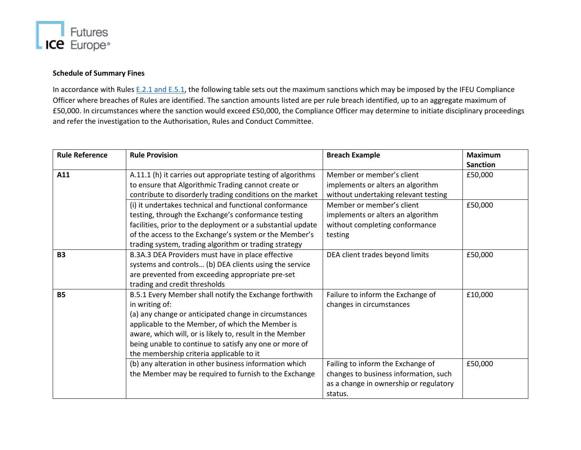

## **Schedule of Summary Fines**

In accordance with Rules E.2.1 [and E.5.1,](https://www.theice.com/publicdocs/contractregs/09_SECTION_E.pdf) the following table sets out the maximum sanctions which may be imposed by the IFEU Compliance Officer where breaches of Rules are identified. The sanction amounts listed are per rule breach identified, up to an aggregate maximum of £50,000. In circumstances where the sanction would exceed £50,000, the Compliance Officer may determine to initiate disciplinary proceedings and refer the investigation to the Authorisation, Rules and Conduct Committee.

| <b>Rule Reference</b> | <b>Rule Provision</b>                                       | <b>Breach Example</b>                  | <b>Maximum</b>  |
|-----------------------|-------------------------------------------------------------|----------------------------------------|-----------------|
|                       |                                                             | Member or member's client              | <b>Sanction</b> |
| A11                   | A.11.1 (h) it carries out appropriate testing of algorithms |                                        | £50,000         |
|                       | to ensure that Algorithmic Trading cannot create or         | implements or alters an algorithm      |                 |
|                       | contribute to disorderly trading conditions on the market   | without undertaking relevant testing   |                 |
|                       | (i) it undertakes technical and functional conformance      | Member or member's client              | £50,000         |
|                       | testing, through the Exchange's conformance testing         | implements or alters an algorithm      |                 |
|                       | facilities, prior to the deployment or a substantial update | without completing conformance         |                 |
|                       | of the access to the Exchange's system or the Member's      | testing                                |                 |
|                       | trading system, trading algorithm or trading strategy       |                                        |                 |
| <b>B3</b>             | B.3A.3 DEA Providers must have in place effective           | DEA client trades beyond limits        | £50,000         |
|                       | systems and controls (b) DEA clients using the service      |                                        |                 |
|                       | are prevented from exceeding appropriate pre-set            |                                        |                 |
|                       | trading and credit thresholds                               |                                        |                 |
| <b>B5</b>             | B.5.1 Every Member shall notify the Exchange forthwith      | Failure to inform the Exchange of      | £10,000         |
|                       | in writing of:                                              | changes in circumstances               |                 |
|                       | (a) any change or anticipated change in circumstances       |                                        |                 |
|                       | applicable to the Member, of which the Member is            |                                        |                 |
|                       | aware, which will, or is likely to, result in the Member    |                                        |                 |
|                       | being unable to continue to satisfy any one or more of      |                                        |                 |
|                       | the membership criteria applicable to it                    |                                        |                 |
|                       | (b) any alteration in other business information which      | Failing to inform the Exchange of      | £50,000         |
|                       | the Member may be required to furnish to the Exchange       | changes to business information, such  |                 |
|                       |                                                             | as a change in ownership or regulatory |                 |
|                       |                                                             | status.                                |                 |
|                       |                                                             |                                        |                 |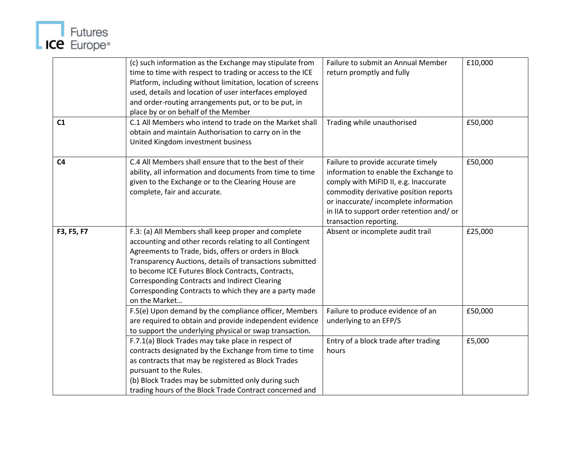

|                | (c) such information as the Exchange may stipulate from<br>time to time with respect to trading or access to the ICE<br>Platform, including without limitation, location of screens<br>used, details and location of user interfaces employed<br>and order-routing arrangements put, or to be put, in                                                                                                                      | Failure to submit an Annual Member<br>return promptly and fully                                                                                                                                                                                                             | £10,000 |
|----------------|----------------------------------------------------------------------------------------------------------------------------------------------------------------------------------------------------------------------------------------------------------------------------------------------------------------------------------------------------------------------------------------------------------------------------|-----------------------------------------------------------------------------------------------------------------------------------------------------------------------------------------------------------------------------------------------------------------------------|---------|
| C1             | place by or on behalf of the Member<br>C.1 All Members who intend to trade on the Market shall<br>obtain and maintain Authorisation to carry on in the<br>United Kingdom investment business                                                                                                                                                                                                                               | Trading while unauthorised                                                                                                                                                                                                                                                  | £50,000 |
| C <sub>4</sub> | C.4 All Members shall ensure that to the best of their<br>ability, all information and documents from time to time<br>given to the Exchange or to the Clearing House are<br>complete, fair and accurate.                                                                                                                                                                                                                   | Failure to provide accurate timely<br>information to enable the Exchange to<br>comply with MiFID II, e.g. Inaccurate<br>commodity derivative position reports<br>or inaccurate/incomplete information<br>in IIA to support order retention and/or<br>transaction reporting. | £50,000 |
| F3, F5, F7     | F.3: (a) All Members shall keep proper and complete<br>accounting and other records relating to all Contingent<br>Agreements to Trade, bids, offers or orders in Block<br>Transparency Auctions, details of transactions submitted<br>to become ICE Futures Block Contracts, Contracts,<br><b>Corresponding Contracts and Indirect Clearing</b><br>Corresponding Contracts to which they are a party made<br>on the Market | Absent or incomplete audit trail                                                                                                                                                                                                                                            | £25,000 |
|                | F.5(e) Upon demand by the compliance officer, Members<br>are required to obtain and provide independent evidence<br>to support the underlying physical or swap transaction.                                                                                                                                                                                                                                                | Failure to produce evidence of an<br>underlying to an EFP/S                                                                                                                                                                                                                 | £50,000 |
|                | F.7.1(a) Block Trades may take place in respect of<br>contracts designated by the Exchange from time to time<br>as contracts that may be registered as Block Trades<br>pursuant to the Rules.<br>(b) Block Trades may be submitted only during such<br>trading hours of the Block Trade Contract concerned and                                                                                                             | Entry of a block trade after trading<br>hours                                                                                                                                                                                                                               | £5,000  |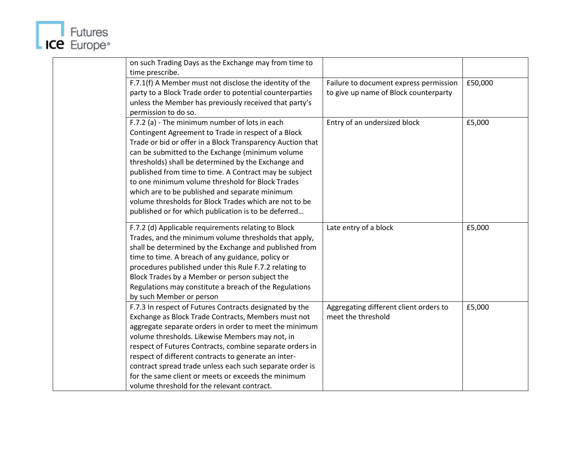

| on such Trading Days as the Exchange may from time to      |                                        |         |
|------------------------------------------------------------|----------------------------------------|---------|
| time prescribe.                                            |                                        |         |
| F.7.1(f) A Member must not disclose the identity of the    | Failure to document express permission | £50,000 |
| party to a Block Trade order to potential counterparties   | to give up name of Block counterparty  |         |
| unless the Member has previously received that party's     |                                        |         |
| permission to do so.                                       |                                        |         |
| F.7.2 (a) - The minimum number of lots in each             | Entry of an undersized block           | £5,000  |
| Contingent Agreement to Trade in respect of a Block        |                                        |         |
| Trade or bid or offer in a Block Transparency Auction that |                                        |         |
| can be submitted to the Exchange (minimum volume           |                                        |         |
| thresholds) shall be determined by the Exchange and        |                                        |         |
| published from time to time. A Contract may be subject     |                                        |         |
| to one minimum volume threshold for Block Trades           |                                        |         |
| which are to be published and separate minimum             |                                        |         |
| volume thresholds for Block Trades which are not to be     |                                        |         |
| published or for which publication is to be deferred       |                                        |         |
|                                                            |                                        |         |
| F.7.2 (d) Applicable requirements relating to Block        | Late entry of a block                  | £5,000  |
| Trades, and the minimum volume thresholds that apply,      |                                        |         |
| shall be determined by the Exchange and published from     |                                        |         |
| time to time. A breach of any guidance, policy or          |                                        |         |
| procedures published under this Rule F.7.2 relating to     |                                        |         |
| Block Trades by a Member or person subject the             |                                        |         |
| Regulations may constitute a breach of the Regulations     |                                        |         |
| by such Member or person                                   |                                        |         |
| F.7.3 In respect of Futures Contracts designated by the    | Aggregating different client orders to | £5,000  |
| Exchange as Block Trade Contracts, Members must not        | meet the threshold                     |         |
| aggregate separate orders in order to meet the minimum     |                                        |         |
| volume thresholds. Likewise Members may not, in            |                                        |         |
| respect of Futures Contracts, combine separate orders in   |                                        |         |
| respect of different contracts to generate an inter-       |                                        |         |
| contract spread trade unless each such separate order is   |                                        |         |
| for the same client or meets or exceeds the minimum        |                                        |         |
| volume threshold for the relevant contract.                |                                        |         |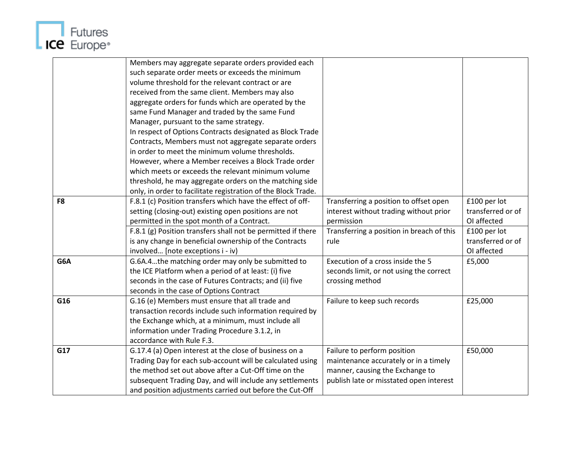

|                | Members may aggregate separate orders provided each           |                                           |                   |
|----------------|---------------------------------------------------------------|-------------------------------------------|-------------------|
|                | such separate order meets or exceeds the minimum              |                                           |                   |
|                | volume threshold for the relevant contract or are             |                                           |                   |
|                | received from the same client. Members may also               |                                           |                   |
|                | aggregate orders for funds which are operated by the          |                                           |                   |
|                | same Fund Manager and traded by the same Fund                 |                                           |                   |
|                | Manager, pursuant to the same strategy.                       |                                           |                   |
|                | In respect of Options Contracts designated as Block Trade     |                                           |                   |
|                | Contracts, Members must not aggregate separate orders         |                                           |                   |
|                | in order to meet the minimum volume thresholds.               |                                           |                   |
|                | However, where a Member receives a Block Trade order          |                                           |                   |
|                | which meets or exceeds the relevant minimum volume            |                                           |                   |
|                | threshold, he may aggregate orders on the matching side       |                                           |                   |
|                | only, in order to facilitate registration of the Block Trade. |                                           |                   |
| F <sub>8</sub> | F.8.1 (c) Position transfers which have the effect of off-    | Transferring a position to offset open    | £100 per lot      |
|                | setting (closing-out) existing open positions are not         | interest without trading without prior    | transferred or of |
|                | permitted in the spot month of a Contract.                    | permission                                | OI affected       |
|                | F.8.1 (g) Position transfers shall not be permitted if there  | Transferring a position in breach of this | £100 per lot      |
|                | is any change in beneficial ownership of the Contracts        | rule                                      | transferred or of |
|                | involved [note exceptions i - iv)                             |                                           | OI affected       |
| G6A            | G.6A.4the matching order may only be submitted to             | Execution of a cross inside the 5         | £5,000            |
|                | the ICE Platform when a period of at least: (i) five          | seconds limit, or not using the correct   |                   |
|                | seconds in the case of Futures Contracts; and (ii) five       | crossing method                           |                   |
|                | seconds in the case of Options Contract                       |                                           |                   |
| G16            | G.16 (e) Members must ensure that all trade and               | Failure to keep such records              | £25,000           |
|                | transaction records include such information required by      |                                           |                   |
|                | the Exchange which, at a minimum, must include all            |                                           |                   |
|                | information under Trading Procedure 3.1.2, in                 |                                           |                   |
|                | accordance with Rule F.3.                                     |                                           |                   |
| G17            | G.17.4 (a) Open interest at the close of business on a        | Failure to perform position               | £50,000           |
|                | Trading Day for each sub-account will be calculated using     | maintenance accurately or in a timely     |                   |
|                | the method set out above after a Cut-Off time on the          | manner, causing the Exchange to           |                   |
|                | subsequent Trading Day, and will include any settlements      | publish late or misstated open interest   |                   |
|                | and position adjustments carried out before the Cut-Off       |                                           |                   |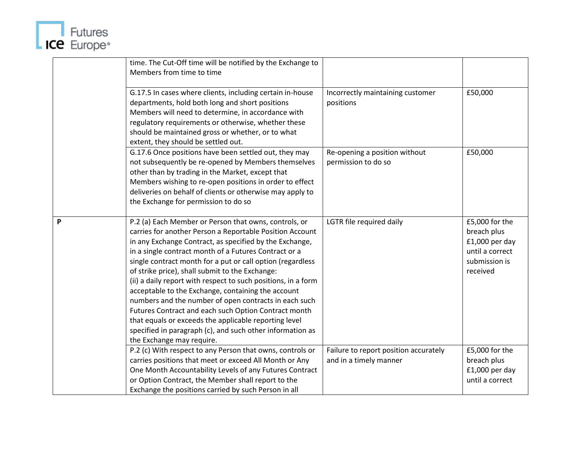

|   | time. The Cut-Off time will be notified by the Exchange to<br>Members from time to time                                                                                                                                                                                                                                                                                                                                                                                                                                                                                                                                                                                                                                                           |                                                                 |                                                                                                   |
|---|---------------------------------------------------------------------------------------------------------------------------------------------------------------------------------------------------------------------------------------------------------------------------------------------------------------------------------------------------------------------------------------------------------------------------------------------------------------------------------------------------------------------------------------------------------------------------------------------------------------------------------------------------------------------------------------------------------------------------------------------------|-----------------------------------------------------------------|---------------------------------------------------------------------------------------------------|
|   | G.17.5 In cases where clients, including certain in-house<br>departments, hold both long and short positions<br>Members will need to determine, in accordance with<br>regulatory requirements or otherwise, whether these<br>should be maintained gross or whether, or to what<br>extent, they should be settled out.                                                                                                                                                                                                                                                                                                                                                                                                                             | Incorrectly maintaining customer<br>positions                   | £50,000                                                                                           |
|   | G.17.6 Once positions have been settled out, they may<br>not subsequently be re-opened by Members themselves<br>other than by trading in the Market, except that<br>Members wishing to re-open positions in order to effect<br>deliveries on behalf of clients or otherwise may apply to<br>the Exchange for permission to do so                                                                                                                                                                                                                                                                                                                                                                                                                  | Re-opening a position without<br>permission to do so            | £50,000                                                                                           |
| P | P.2 (a) Each Member or Person that owns, controls, or<br>carries for another Person a Reportable Position Account<br>in any Exchange Contract, as specified by the Exchange,<br>in a single contract month of a Futures Contract or a<br>single contract month for a put or call option (regardless<br>of strike price), shall submit to the Exchange:<br>(ii) a daily report with respect to such positions, in a form<br>acceptable to the Exchange, containing the account<br>numbers and the number of open contracts in each such<br>Futures Contract and each such Option Contract month<br>that equals or exceeds the applicable reporting level<br>specified in paragraph (c), and such other information as<br>the Exchange may require. | LGTR file required daily                                        | £5,000 for the<br>breach plus<br>$£1,000$ per day<br>until a correct<br>submission is<br>received |
|   | P.2 (c) With respect to any Person that owns, controls or<br>carries positions that meet or exceed All Month or Any<br>One Month Accountability Levels of any Futures Contract<br>or Option Contract, the Member shall report to the<br>Exchange the positions carried by such Person in all                                                                                                                                                                                                                                                                                                                                                                                                                                                      | Failure to report position accurately<br>and in a timely manner | £5,000 for the<br>breach plus<br>$£1,000$ per day<br>until a correct                              |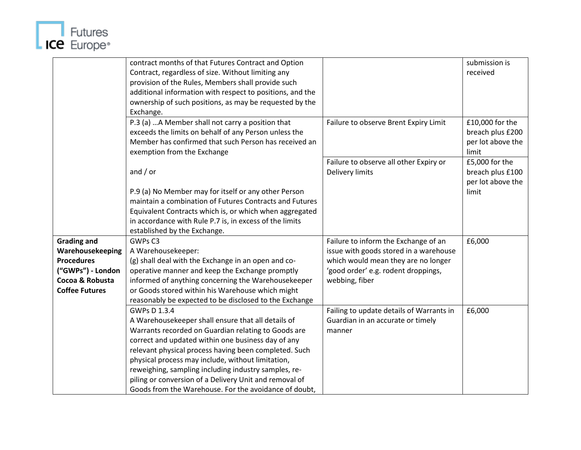

|                       | contract months of that Futures Contract and Option       |                                          | submission is     |
|-----------------------|-----------------------------------------------------------|------------------------------------------|-------------------|
|                       | Contract, regardless of size. Without limiting any        |                                          | received          |
|                       | provision of the Rules, Members shall provide such        |                                          |                   |
|                       | additional information with respect to positions, and the |                                          |                   |
|                       | ownership of such positions, as may be requested by the   |                                          |                   |
|                       | Exchange.                                                 |                                          |                   |
|                       | P.3 (a)  A Member shall not carry a position that         | Failure to observe Brent Expiry Limit    | £10,000 for the   |
|                       | exceeds the limits on behalf of any Person unless the     |                                          | breach plus £200  |
|                       | Member has confirmed that such Person has received an     |                                          | per lot above the |
|                       | exemption from the Exchange                               |                                          | limit             |
|                       |                                                           | Failure to observe all other Expiry or   | £5,000 for the    |
|                       | and $/$ or                                                | <b>Delivery limits</b>                   | breach plus £100  |
|                       |                                                           |                                          | per lot above the |
|                       | P.9 (a) No Member may for itself or any other Person      |                                          | limit             |
|                       | maintain a combination of Futures Contracts and Futures   |                                          |                   |
|                       | Equivalent Contracts which is, or which when aggregated   |                                          |                   |
|                       | in accordance with Rule P.7 is, in excess of the limits   |                                          |                   |
|                       | established by the Exchange.                              |                                          |                   |
| <b>Grading and</b>    | GWPs C3                                                   | Failure to inform the Exchange of an     | £6,000            |
| Warehousekeeping      | A Warehousekeeper:                                        | issue with goods stored in a warehouse   |                   |
| <b>Procedures</b>     | (g) shall deal with the Exchange in an open and co-       | which would mean they are no longer      |                   |
| ("GWPs") - London     | operative manner and keep the Exchange promptly           | 'good order' e.g. rodent droppings,      |                   |
| Cocoa & Robusta       | informed of anything concerning the Warehousekeeper       | webbing, fiber                           |                   |
| <b>Coffee Futures</b> | or Goods stored within his Warehouse which might          |                                          |                   |
|                       | reasonably be expected to be disclosed to the Exchange    |                                          |                   |
|                       | GWPs D 1.3.4                                              | Failing to update details of Warrants in | £6,000            |
|                       | A Warehousekeeper shall ensure that all details of        | Guardian in an accurate or timely        |                   |
|                       | Warrants recorded on Guardian relating to Goods are       | manner                                   |                   |
|                       | correct and updated within one business day of any        |                                          |                   |
|                       | relevant physical process having been completed. Such     |                                          |                   |
|                       | physical process may include, without limitation,         |                                          |                   |
|                       | reweighing, sampling including industry samples, re-      |                                          |                   |
|                       | piling or conversion of a Delivery Unit and removal of    |                                          |                   |
|                       | Goods from the Warehouse. For the avoidance of doubt,     |                                          |                   |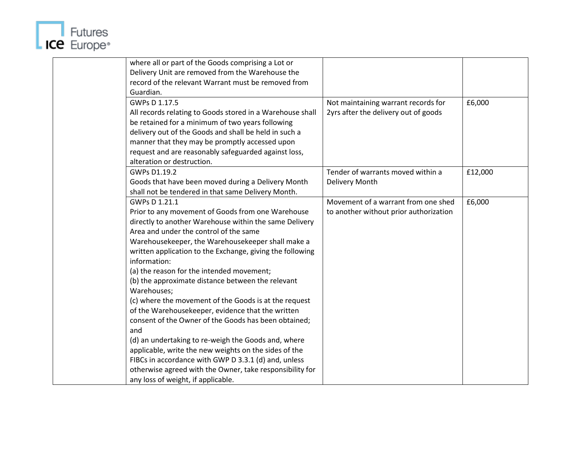

| where all or part of the Goods comprising a Lot or<br>Delivery Unit are removed from the Warehouse the<br>record of the relevant Warrant must be removed from<br>Guardian.<br>GWPs D 1.17.5<br>All records relating to Goods stored in a Warehouse shall<br>be retained for a minimum of two years following<br>delivery out of the Goods and shall be held in such a<br>manner that they may be promptly accessed upon<br>request and are reasonably safeguarded against loss,<br>alteration or destruction.                                                                                                                                                                                                                                                                                                                                                                    | £6,000<br>Not maintaining warrant records for<br>2yrs after the delivery out of goods   |
|----------------------------------------------------------------------------------------------------------------------------------------------------------------------------------------------------------------------------------------------------------------------------------------------------------------------------------------------------------------------------------------------------------------------------------------------------------------------------------------------------------------------------------------------------------------------------------------------------------------------------------------------------------------------------------------------------------------------------------------------------------------------------------------------------------------------------------------------------------------------------------|-----------------------------------------------------------------------------------------|
| GWPs D1.19.2<br>Goods that have been moved during a Delivery Month<br>shall not be tendered in that same Delivery Month.                                                                                                                                                                                                                                                                                                                                                                                                                                                                                                                                                                                                                                                                                                                                                         | Tender of warrants moved within a<br>£12,000<br><b>Delivery Month</b>                   |
| GWPs D 1.21.1<br>Prior to any movement of Goods from one Warehouse<br>directly to another Warehouse within the same Delivery<br>Area and under the control of the same<br>Warehousekeeper, the Warehousekeeper shall make a<br>written application to the Exchange, giving the following<br>information:<br>(a) the reason for the intended movement;<br>(b) the approximate distance between the relevant<br>Warehouses;<br>(c) where the movement of the Goods is at the request<br>of the Warehousekeeper, evidence that the written<br>consent of the Owner of the Goods has been obtained;<br>and<br>(d) an undertaking to re-weigh the Goods and, where<br>applicable, write the new weights on the sides of the<br>FIBCs in accordance with GWP D 3.3.1 (d) and, unless<br>otherwise agreed with the Owner, take responsibility for<br>any loss of weight, if applicable. | Movement of a warrant from one shed<br>£6,000<br>to another without prior authorization |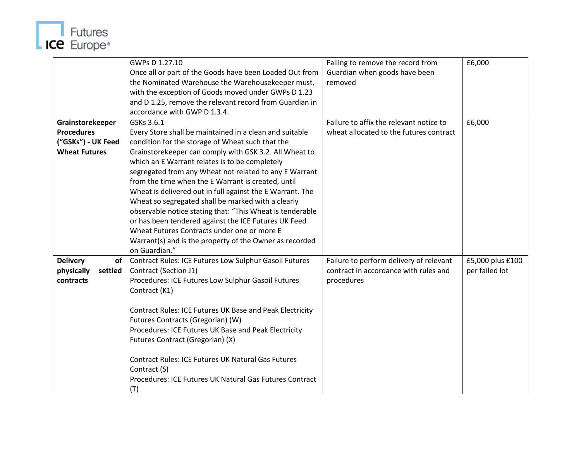

|                       | GWPs D 1.27.10                                            | Failing to remove the record from       | £6,000           |
|-----------------------|-----------------------------------------------------------|-----------------------------------------|------------------|
|                       | Once all or part of the Goods have been Loaded Out from   | Guardian when goods have been           |                  |
|                       | the Nominated Warehouse the Warehousekeeper must,         | removed                                 |                  |
|                       | with the exception of Goods moved under GWPs D 1.23       |                                         |                  |
|                       | and D 1.25, remove the relevant record from Guardian in   |                                         |                  |
|                       | accordance with GWP D 1.3.4.                              |                                         |                  |
| Grainstorekeeper      | GSKs 3.6.1                                                | Failure to affix the relevant notice to | £6,000           |
| <b>Procedures</b>     | Every Store shall be maintained in a clean and suitable   | wheat allocated to the futures contract |                  |
| ("GSKs") - UK Feed    | condition for the storage of Wheat such that the          |                                         |                  |
| <b>Wheat Futures</b>  | Grainstorekeeper can comply with GSK 3.2. All Wheat to    |                                         |                  |
|                       | which an E Warrant relates is to be completely            |                                         |                  |
|                       | segregated from any Wheat not related to any E Warrant    |                                         |                  |
|                       | from the time when the E Warrant is created, until        |                                         |                  |
|                       | Wheat is delivered out in full against the E Warrant. The |                                         |                  |
|                       | Wheat so segregated shall be marked with a clearly        |                                         |                  |
|                       | observable notice stating that: "This Wheat is tenderable |                                         |                  |
|                       | or has been tendered against the ICE Futures UK Feed      |                                         |                  |
|                       | Wheat Futures Contracts under one or more E               |                                         |                  |
|                       | Warrant(s) and is the property of the Owner as recorded   |                                         |                  |
|                       | on Guardian."                                             |                                         |                  |
| <b>Delivery</b><br>of | Contract Rules: ICE Futures Low Sulphur Gasoil Futures    | Failure to perform delivery of relevant | £5,000 plus £100 |
| physically<br>settled | Contract (Section J1)                                     | contract in accordance with rules and   | per failed lot   |
| contracts             | Procedures: ICE Futures Low Sulphur Gasoil Futures        | procedures                              |                  |
|                       | Contract (K1)                                             |                                         |                  |
|                       |                                                           |                                         |                  |
|                       | Contract Rules: ICE Futures UK Base and Peak Electricity  |                                         |                  |
|                       | Futures Contracts (Gregorian) (W)                         |                                         |                  |
|                       | Procedures: ICE Futures UK Base and Peak Electricity      |                                         |                  |
|                       | Futures Contract (Gregorian) (X)                          |                                         |                  |
|                       |                                                           |                                         |                  |
|                       | <b>Contract Rules: ICE Futures UK Natural Gas Futures</b> |                                         |                  |
|                       | Contract (S)                                              |                                         |                  |
|                       | Procedures: ICE Futures UK Natural Gas Futures Contract   |                                         |                  |
|                       | (T)                                                       |                                         |                  |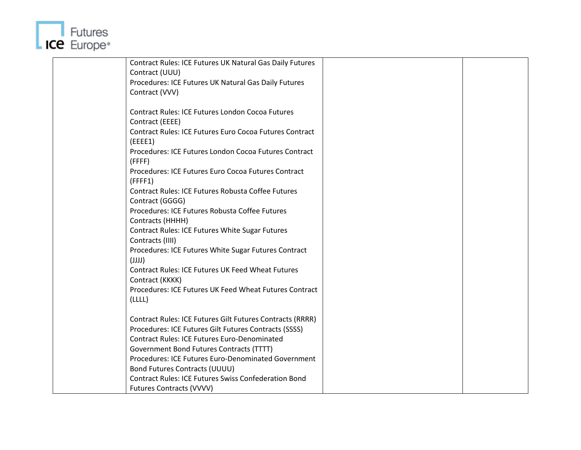

| Contract Rules: ICE Futures UK Natural Gas Daily Futures    |  |
|-------------------------------------------------------------|--|
| Contract (UUU)                                              |  |
| Procedures: ICE Futures UK Natural Gas Daily Futures        |  |
| Contract (VVV)                                              |  |
|                                                             |  |
| <b>Contract Rules: ICE Futures London Cocoa Futures</b>     |  |
| Contract (EEEE)                                             |  |
| Contract Rules: ICE Futures Euro Cocoa Futures Contract     |  |
| (EEEE1)                                                     |  |
| Procedures: ICE Futures London Cocoa Futures Contract       |  |
| (FFFF)                                                      |  |
| Procedures: ICE Futures Euro Cocoa Futures Contract         |  |
| (FFFF1)                                                     |  |
| <b>Contract Rules: ICE Futures Robusta Coffee Futures</b>   |  |
| Contract (GGGG)                                             |  |
| Procedures: ICE Futures Robusta Coffee Futures              |  |
| Contracts (HHHH)                                            |  |
| <b>Contract Rules: ICE Futures White Sugar Futures</b>      |  |
| Contracts (IIII)                                            |  |
| Procedures: ICE Futures White Sugar Futures Contract        |  |
| (ULU)                                                       |  |
| <b>Contract Rules: ICE Futures UK Feed Wheat Futures</b>    |  |
| Contract (KKKK)                                             |  |
| Procedures: ICE Futures UK Feed Wheat Futures Contract      |  |
| (LLLL)                                                      |  |
|                                                             |  |
| Contract Rules: ICE Futures Gilt Futures Contracts (RRRR)   |  |
| Procedures: ICE Futures Gilt Futures Contracts (SSSS)       |  |
| <b>Contract Rules: ICE Futures Euro-Denominated</b>         |  |
| Government Bond Futures Contracts (TTTT)                    |  |
| Procedures: ICE Futures Euro-Denominated Government         |  |
| <b>Bond Futures Contracts (UUUU)</b>                        |  |
| <b>Contract Rules: ICE Futures Swiss Confederation Bond</b> |  |
| <b>Futures Contracts (VVVV)</b>                             |  |